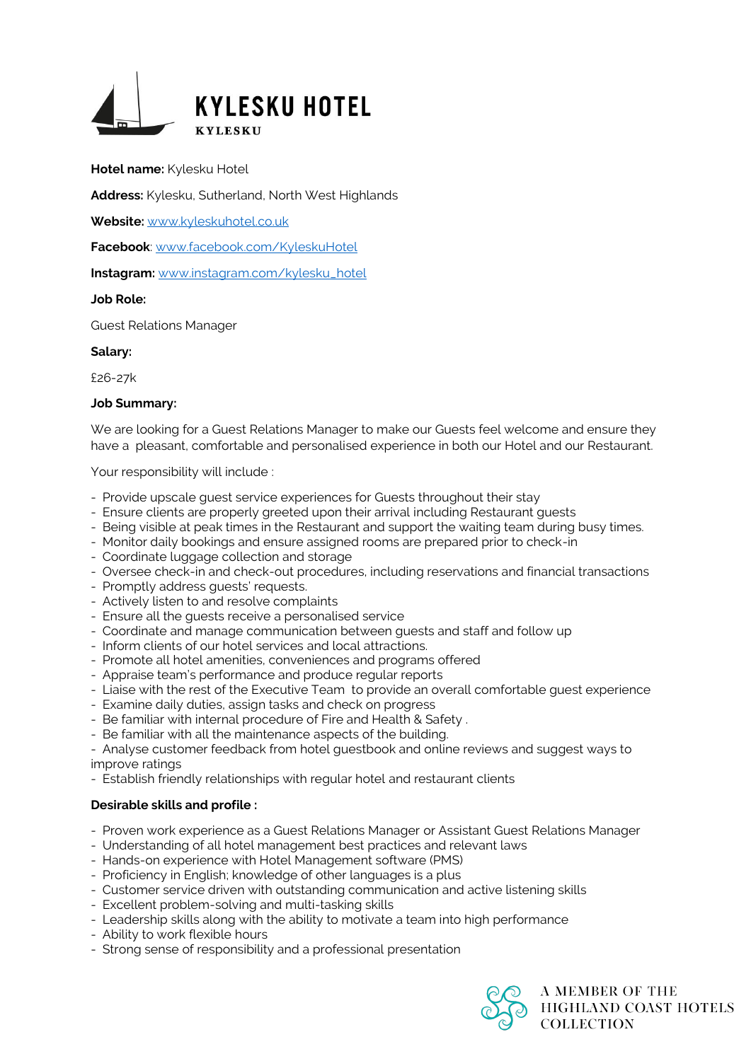

**Hotel name:** Kylesku Hotel

**Address:** Kylesku, Sutherland, North West Highlands

**Website:** [www.kyleskuhotel.co.uk](http://www.kyleskuhotel.co.uk/)

**Facebook**: [www.facebook.com/KyleskuHotel](http://www.facebook.com/KyleskuHotel)

**Instagram:** [www.instagram.com/kylesku\\_hotel](http://www.instagram.com/kylesku_hotel)

#### **Job Role:**

Guest Relations Manager

#### **Salary:**

£26-27k

#### **Job Summary:**

We are looking for a Guest Relations Manager to make our Guests feel welcome and ensure they have a pleasant, comfortable and personalised experience in both our Hotel and our Restaurant.

Your responsibility will include :

- Provide upscale guest service experiences for Guests throughout their stay
- Ensure clients are properly greeted upon their arrival including Restaurant guests
- Being visible at peak times in the Restaurant and support the waiting team during busy times.
- Monitor daily bookings and ensure assigned rooms are prepared prior to check-in
- Coordinate luggage collection and storage
- Oversee check-in and check-out procedures, including reservations and financial transactions
- Promptly address guests' requests.
- Actively listen to and resolve complaints
- Ensure all the guests receive a personalised service
- Coordinate and manage communication between guests and staff and follow up
- Inform clients of our hotel services and local attractions.
- Promote all hotel amenities, conveniences and programs offered
- Appraise team's performance and produce regular reports
- Liaise with the rest of the Executive Team to provide an overall comfortable guest experience
- Examine daily duties, assign tasks and check on progress
- Be familiar with internal procedure of Fire and Health & Safety .
- Be familiar with all the maintenance aspects of the building.

- Analyse customer feedback from hotel guestbook and online reviews and suggest ways to improve ratings

- Establish friendly relationships with regular hotel and restaurant clients

## **Desirable skills and profile :**

- Proven work experience as a Guest Relations Manager or Assistant Guest Relations Manager
- Understanding of all hotel management best practices and relevant laws
- Hands-on experience with Hotel Management software (PMS)
- Proficiency in English; knowledge of other languages is a plus
- Customer service driven with outstanding communication and active listening skills
- Excellent problem-solving and multi-tasking skills
- Leadership skills along with the ability to motivate a team into high performance
- Ability to work flexible hours
- Strong sense of responsibility and a professional presentation

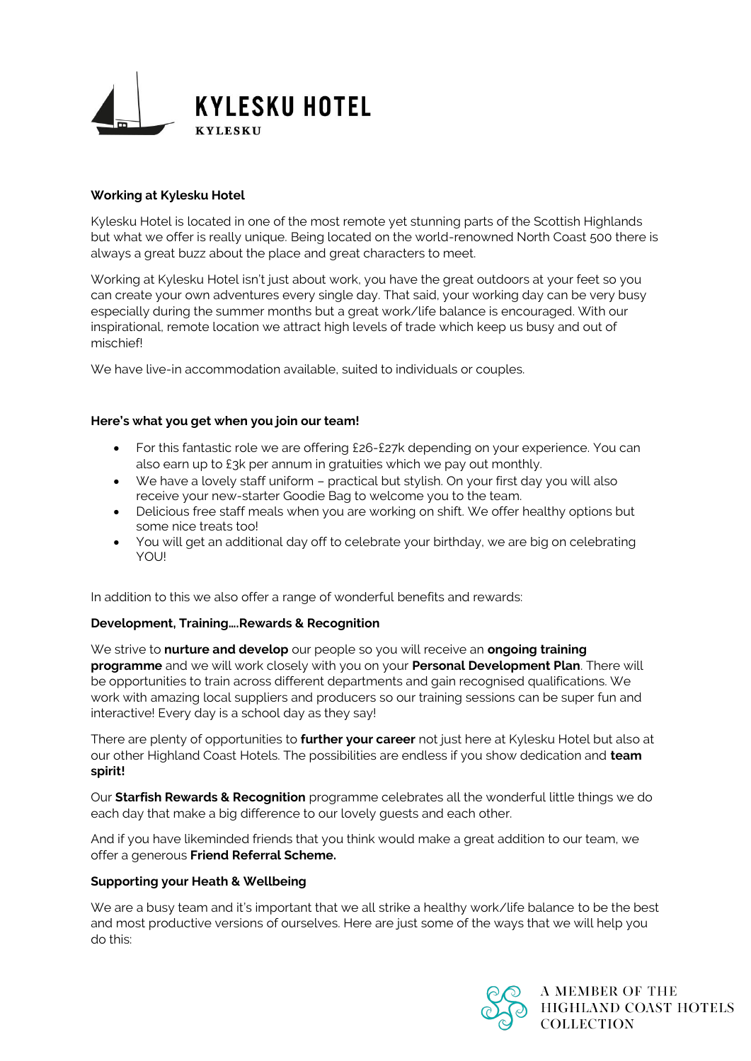

# **Working at Kylesku Hotel**

Kylesku Hotel is located in one of the most remote yet stunning parts of the Scottish Highlands but what we offer is really unique. Being located on the world-renowned North Coast 500 there is always a great buzz about the place and great characters to meet.

Working at Kylesku Hotel isn't just about work, you have the great outdoors at your feet so you can create your own adventures every single day. That said, your working day can be very busy especially during the summer months but a great work/life balance is encouraged. With our inspirational, remote location we attract high levels of trade which keep us busy and out of mischief!

We have live-in accommodation available, suited to individuals or couples.

## **Here's what you get when you join our team!**

- For this fantastic role we are offering £26-£27k depending on your experience. You can also earn up to £3k per annum in gratuities which we pay out monthly.
- We have a lovely staff uniform practical but stylish. On your first day you will also receive your new-starter Goodie Bag to welcome you to the team.
- Delicious free staff meals when you are working on shift. We offer healthy options but some nice treats too!
- You will get an additional day off to celebrate your birthday, we are big on celebrating YOU!

In addition to this we also offer a range of wonderful benefits and rewards:

## **Development, Training….Rewards & Recognition**

We strive to **nurture and develop** our people so you will receive an **ongoing training programme** and we will work closely with you on your **Personal Development Plan**. There will be opportunities to train across different departments and gain recognised qualifications. We work with amazing local suppliers and producers so our training sessions can be super fun and interactive! Every day is a school day as they say!

There are plenty of opportunities to **further your career** not just here at Kylesku Hotel but also at our other Highland Coast Hotels. The possibilities are endless if you show dedication and **team spirit!**

Our **Starfish Rewards & Recognition** programme celebrates all the wonderful little things we do each day that make a big difference to our lovely guests and each other.

And if you have likeminded friends that you think would make a great addition to our team, we offer a generous **Friend Referral Scheme.**

## **Supporting your Heath & Wellbeing**

We are a busy team and it's important that we all strike a healthy work/life balance to be the best and most productive versions of ourselves. Here are just some of the ways that we will help you do this: